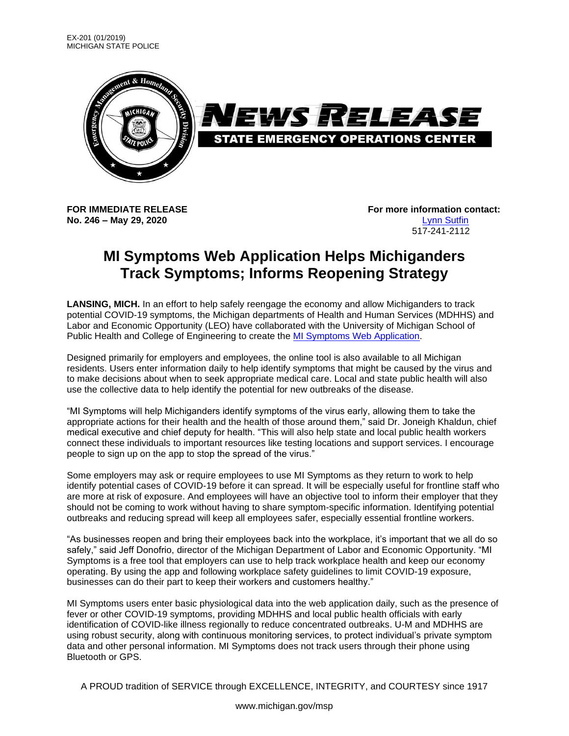

**No. 246 – May 29, 2020** [Lynn Sutfin](mailto:Sutfinl1@michigan.gov)

**FOR IMMEDIATE RELEASE For more information contact:** 517-241-2112

## **MI Symptoms Web Application Helps Michiganders Track Symptoms; Informs Reopening Strategy**

**LANSING, MICH.** In an effort to help safely reengage the economy and allow Michiganders to track potential COVID-19 symptoms, the Michigan departments of Health and Human Services (MDHHS) and Labor and Economic Opportunity (LEO) have collaborated with the University of Michigan School of Public Health and College of Engineering to create the [MI Symptoms Web Application.](https://misymptomapp.state.mi.us/login)

Designed primarily for employers and employees, the online tool is also available to all Michigan residents. Users enter information daily to help identify symptoms that might be caused by the virus and to make decisions about when to seek appropriate medical care. Local and state public health will also use the collective data to help identify the potential for new outbreaks of the disease.

"MI Symptoms will help Michiganders identify symptoms of the virus early, allowing them to take the appropriate actions for their health and the health of those around them," said Dr. Joneigh Khaldun, chief medical executive and chief deputy for health. "This will also help state and local public health workers connect these individuals to important resources like testing locations and support services. I encourage people to sign up on the app to stop the spread of the virus."

Some employers may ask or require employees to use MI Symptoms as they return to work to help identify potential cases of COVID-19 before it can spread. It will be especially useful for frontline staff who are more at risk of exposure. And employees will have an objective tool to inform their employer that they should not be coming to work without having to share symptom-specific information. Identifying potential outbreaks and reducing spread will keep all employees safer, especially essential frontline workers.

"As businesses reopen and bring their employees back into the workplace, it's important that we all do so safely," said Jeff Donofrio, director of the Michigan Department of Labor and Economic Opportunity. "MI Symptoms is a free tool that employers can use to help track workplace health and keep our economy operating. By using the app and following workplace safety guidelines to limit COVID-19 exposure, businesses can do their part to keep their workers and customers healthy."

MI Symptoms users enter basic physiological data into the web application daily, such as the presence of fever or other COVID-19 symptoms, providing MDHHS and local public health officials with early identification of COVID-like illness regionally to reduce concentrated outbreaks. U-M and MDHHS are using robust security, along with continuous monitoring services, to protect individual's private symptom data and other personal information. MI Symptoms does not track users through their phone using Bluetooth or GPS.

A PROUD tradition of SERVICE through EXCELLENCE, INTEGRITY, and COURTESY since 1917